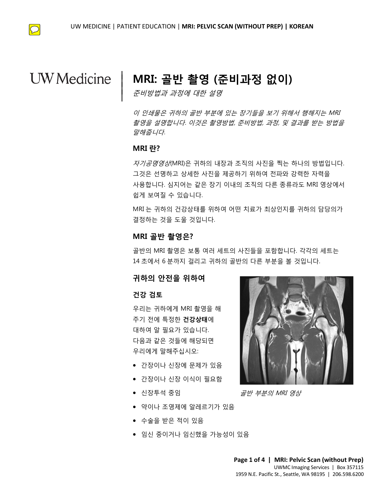

# **UW** Medicine

## **MRI: 골반 촬영 (준비과정 없이)**

준비방법과 과정에 대한 설명

이 인쇄물은 귀하의 골반 부분에 있는 장기들을 보기 위해서 행해지는 MRI 촬영을 설명합니다. 이것은 촬영방법, 준비방법, 과정, 및 결과를 받는 방법을 말해줍니다.

### **MRI 란?**

 $\overline{\phantom{a}}$  $\vert$  $\vert$  $\vert$ 

*들에합니다.*<br>MRI 란?<br>*자기공명영상*(MRI)은 귀하의 내장과 조직의 사진을 찍는 하나의 방법입니다. 그것은 선명하고 상세한 사진을 제공하기 위하여 전파와 강력한 자력을 사용합니다. 심지어는 같은 장기 이내의 조직의 다른 종류라도 MRI 영상에서 쉽게 보여질 수 있습니다.

DRAFT DRAFT MRI 는 귀하의 건강상태를 위하여 어떤 치료가 최상인지를 귀하의 담당의가 결정하는 것을 도울 것입니다.

### **MRI 골반 촬영은?**

골반의 MRI 촬영은 보통 여러 세트의 사진들을 포함합니다. 각각의 세트는 14 초에서 6 분까지 걸리고 귀하의 골반의 다른 부분을 볼 것입니다.

### **귀하의 안전을 위하여**

### **건강 검토**

우리는 귀하에게 MRI 촬영을 해 주기 전에 특정한 **건강상태**에 대하여 알 필요가 있습니다. 다음과 같은 것들에 해당되면 우리에게 말해주십시오:

- 간장이나 신장에 문제가 있음
- 간장이나 신장 이식이 필요함
- 신장투석 중임
- 약이나 조영제에 알레르기가 있음
- 수술을 받은 적이 있음
- 임신 중이거나 임신했을 가능성이 있음

 $\_$  ,  $\_$  ,  $\_$  ,  $\_$  ,  $\_$  ,  $\_$  ,  $\_$  ,  $\_$  ,  $\_$  ,  $\_$  ,  $\_$  ,  $\_$  ,  $\_$  ,  $\_$  ,  $\_$  ,  $\_$  ,  $\_$  ,  $\_$  ,  $\_$  ,  $\_$  ,  $\_$  ,  $\_$  ,  $\_$  ,  $\_$  ,  $\_$  ,  $\_$  ,  $\_$  ,  $\_$  ,  $\_$  ,  $\_$  ,  $\_$  ,  $\_$  ,  $\_$  ,  $\_$  ,  $\_$  ,  $\_$  ,  $\_$  ,



골반 부분의 MRI 영상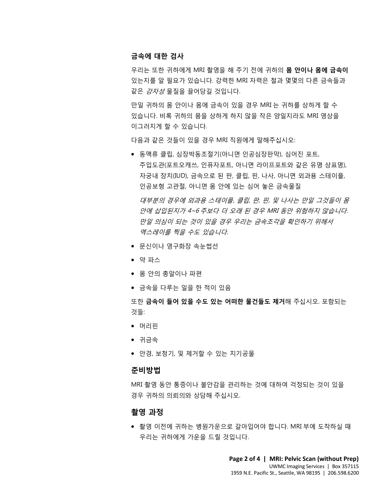### **금속에 대한 검사**

우리는 또한 귀하에게 MRI 촬영을 해 주기 전에 귀하의 **몸 안이나 몸에 금속이** 있는지를 알 필요가 있습니다. 강력한 MRI 자력은 철과 몇몇의 다른 금속들과 같은 강자성 물질을 끌어당길 것입니다.

만일 귀하의 몸 안이나 몸에 금속이 있을 경우 MRI 는 귀하를 상하게 할 수 있습니다. 비록 귀하의 몸을 상하게 하지 않을 작은 양일지라도 MRI 영상을 이그러지게 할 수 있습니다.

다음과 같은 것들이 있을 경우 MRI 직원에게 말해주십시오:

니금꾀 같은 것을이 뀼을 영구 MM 닉원에게 을에구입시오.<br>● 동맥류 클립, 심장박동조절기(아니면 인공심장판막), 심어진 포트,<br>주입도관(포트오캐쓰, 인퓨자포트, 아니면 라이프포트와 같은 유명 상표명),<br>자궁내 장치(IUD). 금속으로 된 판, 클립, 핀, 나사, 아니면 외과용 스테이플. • 동맥류 클립, 심장박동조절기(아니면 인공심장판막), 심어진 포트, 주입도관(포트오캐쓰, 인퓨자포트, 아니면 라이프포트와 같은 유명 상표명), 자궁내 장치(IUD), 금속으로 된 판, 클립, 핀, 나사, 아니면 외과용 스테이플, 인공보형 고관절, 아니면 몸 안에 있는 심어 놓은 금속물질

대부분의 경우에 외과용 스테이플, 클립, 판, 핀, 및 나사는 만일 그것들이 ≦<br>안에 삽입된지가 4~6 주보다 더 오래 된 경우 MRI 동안 위험하지 않습니다<br>만일 의심이 되는 것이 있을 경우 우리는 금속조각을 확인하기 위해서<br>엑스레이를 찍을 수도 있습니다.<br>● 문신이나 영구화장 속눈썹선<br>● 약 파스 안에 삽입된지가 4~6 주보다 더 오래 된 경우 MRI 동안 위험하지 않습니<br>만일 의심이 되는 것이 있을 경우 우리는 금속조각을 확인하기 위해서<br>엑스레이를 찍을 수도 있습니다.<br>● 문신이나 영구화장 속눈썹선<br>● 약 파스 대부분의 경우에 외과용 스테이플, 클립, 판, 핀, 및 나사는 만일 그것들이 몸 안에 삽입된지가 4~6 주보다 더 오래 된 경우 MRI 동안 위험하지 않습니다. 만일 의심이 되는 것이 있을 경우 우리는 금속조각을 확인하기 위해서 엑스레이를 찍을 수도 있습니다.

- 문신이나 영구화장 속눈썹선
- 약 파스
- 몸 안의 총알이나 파편
- 금속을 다루는 일을 한 적이 있음

또한 **금속이 들어 있을 수도 있는 어떠한 물건들도 제거**해 주십시오. 포함되는 것들:

- 머리핀
- 귀금속
- 안경, 보청기, 및 제거할 수 있는 치기공물

 $\_$  ,  $\_$  ,  $\_$  ,  $\_$  ,  $\_$  ,  $\_$  ,  $\_$  ,  $\_$  ,  $\_$  ,  $\_$  ,  $\_$  ,  $\_$  ,  $\_$  ,  $\_$  ,  $\_$  ,  $\_$  ,  $\_$  ,  $\_$  ,  $\_$  ,  $\_$  ,  $\_$  ,  $\_$  ,  $\_$  ,  $\_$  ,  $\_$  ,  $\_$  ,  $\_$  ,  $\_$  ,  $\_$  ,  $\_$  ,  $\_$  ,  $\_$  ,  $\_$  ,  $\_$  ,  $\_$  ,  $\_$  ,  $\_$  ,

### **준비방법**

MRI 촬영 동안 통증이나 불안감을 관리하는 것에 대하여 걱정되는 것이 있을 경우 귀하의 의뢰의와 상담해 주십시오.

### **촬영 과정**

• 촬영 이전에 귀하는 병원가운으로 갈아입어야 합니다. MRI 부에 도착하실 때 우리는 귀하에게 가운을 드릴 것입니다.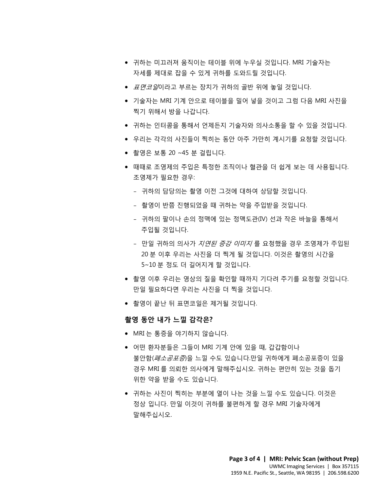- 귀하는 미끄러져 움직이는 테이블 위에 누우실 것입니다. MRI 기술자는 자세를 제대로 잡을 수 있게 귀하를 도와드릴 것입니다.
- *표면코일*이라고 부르는 장치가 귀하의 골반 위에 놓일 것입니다.
- 기술자는 MRI 기계 안으로 테이블을 밀어 넣을 것이고 그럼 다음 MRI 사진을 찍기 위해서 방을 나갑니다.
- 귀하는 인터콤을 통해서 언제든지 기술자와 의사소통을 할 수 있을 것입니다.
- 우리는 각각의 사진들이 찍히는 동안 아주 가만히 계시기를 요청할 것입니다.
- 촬영은 보통 20 ~45 분 걸립니다.
- TEL TIETME를의 TPIE SE PITPIE의 MIMPI를 표정을 것립니다.<br>● 촬영은 보통 20 ~45 분 걸립니다.<br>● 때때로 조영제의 주입은 특정한 조직이나 혈관을 더 쉽게 보는 데 사용됩니다.<br>ㅈ여젠가 필요한 경우: • 때때로 조영제의 주입은 특정한 조직이나 혈관을 더 쉽게 보는 데 사용됩니다. 조영제가 필요한 경우:
	- 귀하의 담당의는 촬영 이전 그것에 대하여 상담할 것입니다.
	- 촬영이 반쯤 진행되었을 때 귀하는 약을 주입받을 것입니다.
	- 귀하의 팔이나 손의 정맥에 있는 정맥도관(IV) 선과 작은 바늘을 통해서 주입될 것입니다.
	- 촬영이 반쯤 진행되었을 때 귀하는 약을 주입받을 것입니다.<br>- 귀하의 팔이나 손의 정맥에 있는 정맥도관(IV) 선과 작은 바늘을 통해서<br>주입될 것입니다.<br>- 만일 귀하의 의사가 *지연된 증강 이미지* 를 요청했을 경우 조영제가 주입돈<br>20 분 이후 우리는 사진을 더 찍게 될 것입니다. 이것은 촬영의 시간을<br>5~10 분 정도 더 길어지게 할 것입니다. DRAFT – 만일 귀하의 의사가 지연된 증강 이미지 를 요청했을 경우 조영제가 주입된 20 분 이후 우리는 사진을 더 찍게 될 것입니다. 이것은 촬영의 시간을 5~10 분 정도 더 길어지게 할 것입니다.
		- 촬영 이후 우리는 영상의 질을 확인할 때까지 기다려 주기를 요청할 것입니다. 만일 필요하다면 우리는 사진을 더 찍을 것입니다.
		- 촬영이 끝난 뒤 표면코일은 제거될 것입니다.

 $\_$  ,  $\_$  ,  $\_$  ,  $\_$  ,  $\_$  ,  $\_$  ,  $\_$  ,  $\_$  ,  $\_$  ,  $\_$  ,  $\_$  ,  $\_$  ,  $\_$  ,  $\_$  ,  $\_$  ,  $\_$  ,  $\_$  ,  $\_$  ,  $\_$  ,  $\_$  ,  $\_$  ,  $\_$  ,  $\_$  ,  $\_$  ,  $\_$  ,  $\_$  ,  $\_$  ,  $\_$  ,  $\_$  ,  $\_$  ,  $\_$  ,  $\_$  ,  $\_$  ,  $\_$  ,  $\_$  ,  $\_$  ,  $\_$  ,

### **촬영 동안 내가 느낄 감각은?**

- MRI 는 통증을 야기하지 않습니다.
- 어떤 환자분들은 그들이 MRI 기계 안에 있을 때, 갑갑함이나 *불안함(폐소공포증*)을 느낄 수도 있습니다.만일 귀하에게 폐소공포증이 있을 경우 MRI 를 의뢰한 의사에게 말해주십시오. 귀하는 편안히 있는 것을 돕기 위한 약을 받을 수도 있습니다.
- 귀하는 사진이 찍히는 부분에 열이 나는 것을 느낄 수도 있습니다. 이것은 정상 입니다. 만일 이것이 귀하를 불편하게 할 경우 MRI 기술자에게 말해주십시오.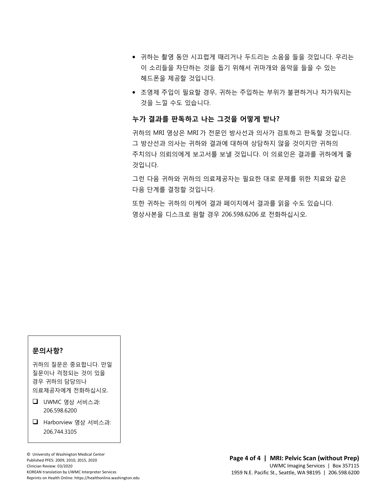- 귀하는 촬영 동안 시끄럽게 때리거나 두드리는 소음을 들을 것입니다. 우리는 이 소리들을 차단하는 것을 돕기 위해서 귀마개와 음악을 들을 수 있는 헤드폰을 제공할 것입니다.
- 조영제 주입이 필요할 경우, 귀하는 주입하는 부위가 불편하거나 차가워지는 것을 느낄 수도 있습니다.

### **누가 결과를 판독하고 나는 그것을 어떻게 받나?**

 $\_$  ,  $\_$  ,  $\_$  ,  $\_$  ,  $\_$  ,  $\_$  ,  $\_$  ,  $\_$  ,  $\_$  ,  $\_$  ,  $\_$  ,  $\_$  ,  $\_$  ,  $\_$  ,  $\_$  ,  $\_$  ,  $\_$  ,  $\_$  ,  $\_$  ,  $\_$  ,  $\_$  ,  $\_$  ,  $\_$  ,  $\_$  ,  $\_$  ,  $\_$  ,  $\_$  ,  $\_$  ,  $\_$  ,  $\_$  ,  $\_$  ,  $\_$  ,  $\_$  ,  $\_$  ,  $\_$  ,  $\_$  ,  $\_$  ,

그 방산선과 의사는 귀하와 결과에 대하여 상담하지 않을 것이지만 귀하의<br>주치의나 의뢰의에게 보고서를 보낼 것입니다. 이 의료인은 결과를 귀하에게 줄<br>것입니다.<br>그것 되요 김치의 김치의 인글랜글집 노필요침 댄글 묘랜를 인칭 친글임 같은 귀하의 MRI 영상은 MRI 가 전문인 방사선과 의사가 검토하고 판독할 것입니다. 그 방산선과 의사는 귀하와 결과에 대하여 상담하지 않을 것이지만 귀하의 주치의나 의뢰의에게 보고서를 보낼 것입니다. 이 의료인은 결과를 귀하에게 줄 것입니다.

그런 다음 귀하와 귀하의 의료제공자는 필요한 대로 문제를 위한 치료와 같은 다음 단계를 결정할 것입니다.

또한 귀하는 귀하의 이케어 결과 페이지에서 결과를 읽을 수도 있습니다.<br>영상사본을 디스크로 원할 경우 206.598.6206 로 전화하십시오.<br> DRAFT 또한 귀하는 귀하의 이케어 결과 페이지에서 결과를 읽을 수도 있습니다. 영상사본을 디스크로 원할 경우 206.598.6206 로 전화하십시오.

### **문의사항?**

귀하의 질문은 중요합니다. 만일 질문이나 걱정되는 것이 있을 경우 귀하의 담당의나 의료제공자에게 전화하십시오.

- $\Box$  UWMC 영상 서비스과: 206.598.6200
- Harborview 영상 서비스과: 206.744.3105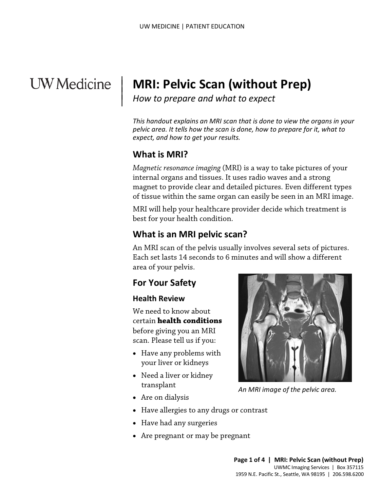# **UW** Medicine

|  $\vert$  $\vert$  $\vert$ 

# **MRI: Pelvic Scan (without Prep)**

*How to prepare and what to expect*

*This handout explains an MRI scan that is done to view the organs in your pelvic area. It tells how the scan is done, how to prepare for it, what to expect, and how to get your results.*

## **What is MRI?**

*Magnetic resonance imaging* (MRI) is a way to take pictures of your internal organs and tissues. It uses radio waves and a strong magnet to provide clear and detailed pictures. Even different types of tissue within the same organ can easily be seen in an MRI image.

MRI will help your healthcare provider decide which treatment is best for your health condition.

## **What is an MRI pelvic scan?**

Inagriet to provide clear and detailed pictures. Even directed ty<br>of tissue within the same organ can easily be seen in an MRI im<br>MRI will help your healthcare provider decide which treatment<br>best for your health condition An MRI scan of the pelvis usually involves several sets of pictures. Each set lasts 14 seconds to 6 minutes and will show a different area of your pelvis.

## **For Your Safety**

### **Health Review**

We need to know about certain **health conditions** before giving you an MRI scan. Please tell us if you:

- Have any problems with your liver or kidneys
- Need a liver or kidney transplant
- Are on dialysis
- Have allergies to any drugs or contrast
- Have had any surgeries
- Are pregnant or may be pregnant

 $\_$  ,  $\_$  ,  $\_$  ,  $\_$  ,  $\_$  ,  $\_$  ,  $\_$  ,  $\_$  ,  $\_$  ,  $\_$  ,  $\_$  ,  $\_$  ,  $\_$  ,  $\_$  ,  $\_$  ,  $\_$  ,  $\_$  ,  $\_$  ,  $\_$  ,  $\_$  ,  $\_$  ,  $\_$  ,  $\_$  ,  $\_$  ,  $\_$  ,  $\_$  ,  $\_$  ,  $\_$  ,  $\_$  ,  $\_$  ,  $\_$  ,  $\_$  ,  $\_$  ,  $\_$  ,  $\_$  ,  $\_$  ,  $\_$  ,



*An MRI image of the pelvic area.*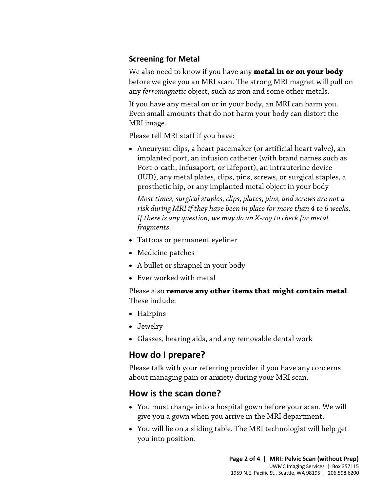### **Screening for Metal**

We also need to know if you have any **metal in or on your body** before we give you an MRI scan. The strong MRI magnet will pull on any *ferromagnetic* object, such as iron and some other metals.

If you have any metal on or in your body, an MRI can harm you. Even small amounts that do not harm your body can distort the MRI image.

Please tell MRI staff if you have:

• Aneurysm clips, a heart pacemaker (or artificial heart valve), an implanted port, an infusion catheter (with brand names such as Port-o-cath, Infusaport, or Lifeport), an intrauterine device (IUD), any metal plates, clips, pins, screws, or surgical staples, a prosthetic hip, or any implanted metal object in your body

Most times, surgical staples, clips, plates, pins, and screws are not a<br>risk during MRI if they have been in place for more than 4 to 6 weeks<br>If there is any question, we may do an X-ray to check for metal<br>fragments.<br>• Tat *Most times, surgical staples, clips, plates, pins, and screws are not a risk during MRI if they have been in place for more than 4 to 6 weeks. If there is any question, we may do an X-ray to check for metal fragments.* 

- Tattoos or permanent eyeliner
- Medicine patches
- A bullet or shrapnel in your body
- Ever worked with metal

Please also **remove any other items that might contain metal**. These include:

- Hairpins
- Jewelry
- Glasses, hearing aids, and any removable dental work

## **How do I prepare?**

Please talk with your referring provider if you have any concerns about managing pain or anxiety during your MRI scan.

## **How is the scan done?**

 $\_$  ,  $\_$  ,  $\_$  ,  $\_$  ,  $\_$  ,  $\_$  ,  $\_$  ,  $\_$  ,  $\_$  ,  $\_$  ,  $\_$  ,  $\_$  ,  $\_$  ,  $\_$  ,  $\_$  ,  $\_$  ,  $\_$  ,  $\_$  ,  $\_$  ,  $\_$  ,  $\_$  ,  $\_$  ,  $\_$  ,  $\_$  ,  $\_$  ,  $\_$  ,  $\_$  ,  $\_$  ,  $\_$  ,  $\_$  ,  $\_$  ,  $\_$  ,  $\_$  ,  $\_$  ,  $\_$  ,  $\_$  ,  $\_$  ,

- You must change into a hospital gown before your scan. We will give you a gown when you arrive in the MRI department.
- You will lie on a sliding table. The MRI technologist will help get you into position.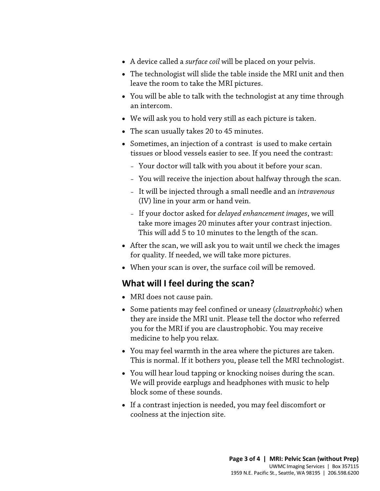- A device called a *surface coil* will be placed on your pelvis.
- The technologist will slide the table inside the MRI unit and then leave the room to take the MRI pictures.
- You will be able to talk with the [technologist](javascript:glossAry() at any time through an intercom.
- We will ask you to hold very still as each picture is taken.
- The scan usually takes 20 to 45 minutes.
- Sometimes, an injection of a [contrast](javascript:glossAry() is used to make certain tissues or blood vessels easier to see. If you need the contrast:
	- Your doctor will talk with you about it before your scan.
	- You will receive the injection about halfway through the scan.
	- It will be injected through a small needle and an *intravenous* (IV) line in your arm or hand vein.
- (IV) line in your arm or hand vein.<br>
 If your doctor asked for *delayed enhancement images*, we will<br>
take more images 20 minutes after your contrast injection.<br>
This will add 5 to 10 minutes to the length of the scan.<br> – If your doctor asked for *delayed enhancement images*, we will take more images 20 minutes after your contrast injection. This will add 5 to 10 minutes to the length of the scan.
	- After the scan, we will ask you to wait until we check the images for quality. If needed, we will take more pictures.
	- When your scan is over, the surface coil will be removed.

## **What will I feel during the scan?**

 $\_$  ,  $\_$  ,  $\_$  ,  $\_$  ,  $\_$  ,  $\_$  ,  $\_$  ,  $\_$  ,  $\_$  ,  $\_$  ,  $\_$  ,  $\_$  ,  $\_$  ,  $\_$  ,  $\_$  ,  $\_$  ,  $\_$  ,  $\_$  ,  $\_$  ,  $\_$  ,  $\_$  ,  $\_$  ,  $\_$  ,  $\_$  ,  $\_$  ,  $\_$  ,  $\_$  ,  $\_$  ,  $\_$  ,  $\_$  ,  $\_$  ,  $\_$  ,  $\_$  ,  $\_$  ,  $\_$  ,  $\_$  ,  $\_$  ,

- MRI does not cause pain.
- Some patients may feel confined or uneasy (*claustrophobic*) when they are inside the MRI unit. Please tell the doctor who referred you for the MRI if you are claustrophobic. You may receive medicine to help you relax.
- You may feel warmth in the area where the pictures are taken. This is normal. If it bothers you, please tell the MRI [technologist.](javascript:glossAry()
- You will hear loud tapping or knocking noises during the scan. We will provide earplugs and headphones with music to help block some of these sounds.
- If a contrast injection is needed, you may feel discomfort or coolness at the injection site.